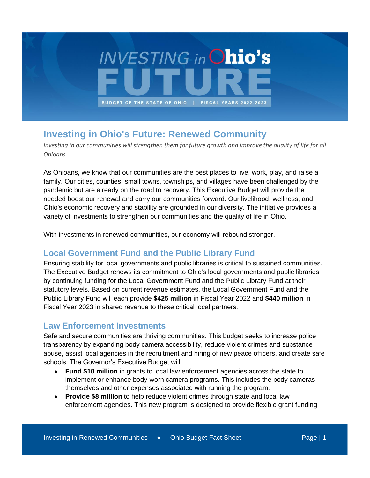

# **Investing in Ohio's Future: Renewed Community**

*Investing in our communities will strengthen them for future growth and improve the quality of life for all Ohioans.* 

As Ohioans, we know that our communities are the best places to live, work, play, and raise a family. Our cities, counties, small towns, townships, and villages have been challenged by the pandemic but are already on the road to recovery. This Executive Budget will provide the needed boost our renewal and carry our communities forward. Our livelihood, wellness, and Ohio's economic recovery and stability are grounded in our diversity. The initiative provides a variety of investments to strengthen our communities and the quality of life in Ohio.

With investments in renewed communities, our economy will rebound stronger.

### **Local Government Fund and the Public Library Fund**

Ensuring stability for local governments and public libraries is critical to sustained communities. The Executive Budget renews its commitment to Ohio's local governments and public libraries by continuing funding for the Local Government Fund and the Public Library Fund at their statutory levels. Based on current revenue estimates, the Local Government Fund and the Public Library Fund will each provide **\$425 million** in Fiscal Year 2022 and **\$440 million** in Fiscal Year 2023 in shared revenue to these critical local partners.

#### **Law Enforcement Investments**

Safe and secure communities are thriving communities. This budget seeks to increase police transparency by expanding body camera accessibility, reduce violent crimes and substance abuse, assist local agencies in the recruitment and hiring of new peace officers, and create safe schools. The Governor's Executive Budget will:

- **Fund \$10 million** in grants to local law enforcement agencies across the state to implement or enhance body-worn camera programs. This includes the body cameras themselves and other expenses associated with running the program.
- **Provide \$8 million** to help reduce violent crimes through state and local law enforcement agencies. This new program is designed to provide flexible grant funding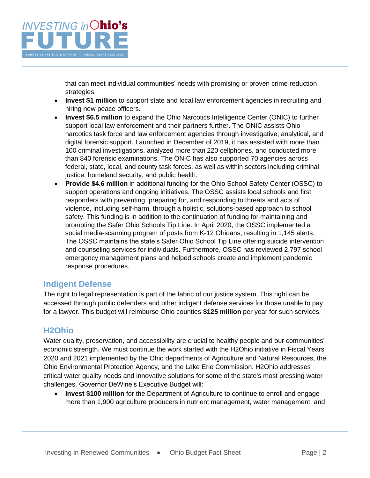

that can meet individual communities' needs with promising or proven crime reduction strategies.

- **Invest \$1 million** to support state and local law enforcement agencies in recruiting and hiring new peace officers.
- **Invest \$6.5 million** to expand the Ohio Narcotics Intelligence Center (ONIC) to further support local law enforcement and their partners further. The ONIC assists Ohio narcotics task force and law enforcement agencies through investigative, analytical, and digital forensic support. Launched in December of 2019, it has assisted with more than 100 criminal investigations, analyzed more than 220 cellphones, and conducted more than 840 forensic examinations. The ONIC has also supported 70 agencies across federal, state, local, and county task forces, as well as within sectors including criminal justice, homeland security, and public health.
- **Provide \$4.6 million** in additional funding for the Ohio School Safety Center (OSSC) to support operations and ongoing initiatives. The OSSC assists local schools and first responders with preventing, preparing for, and responding to threats and acts of violence, including self-harm, through a holistic, solutions-based approach to school safety. This funding is in addition to the continuation of funding for maintaining and promoting the Safer Ohio Schools Tip Line. In April 2020, the OSSC implemented a social media-scanning program of posts from K-12 Ohioans, resulting in 1,145 alerts. The OSSC maintains the state's Safer Ohio School Tip Line offering suicide intervention and counseling services for individuals. Furthermore, OSSC has reviewed 2,797 school emergency management plans and helped schools create and implement pandemic response procedures.

#### **Indigent Defense**

The right to legal representation is part of the fabric of our justice system. This right can be accessed through public defenders and other indigent defense services for those unable to pay for a lawyer. This budget will reimburse Ohio counties **\$125 million** per year for such services.

#### **H2Ohio**

Water quality, preservation, and accessibility are crucial to healthy people and our communities' economic strength. We must continue the work started with the H2Ohio initiative in Fiscal Years 2020 and 2021 implemented by the Ohio departments of Agriculture and Natural Resources, the Ohio Environmental Protection Agency, and the Lake Erie Commission. H2Ohio addresses critical water quality needs and innovative solutions for some of the state's most pressing water challenges. Governor DeWine's Executive Budget will:

• **Invest \$100 million** for the Department of Agriculture to continue to enroll and engage more than 1,900 agriculture producers in nutrient management, water management, and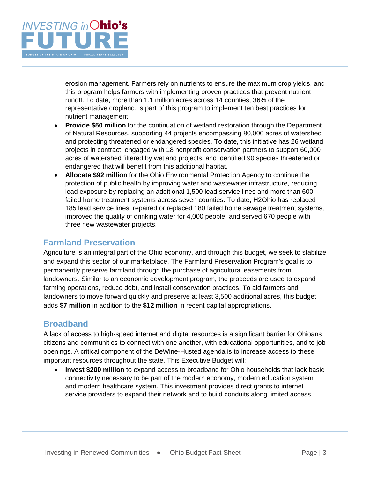

erosion management. Farmers rely on nutrients to ensure the maximum crop yields, and this program helps farmers with implementing proven practices that prevent nutrient runoff. To date, more than 1.1 million acres across 14 counties, 36% of the representative cropland, is part of this program to implement ten best practices for nutrient management.

- **Provide \$50 million** for the continuation of wetland restoration through the Department of Natural Resources, supporting 44 projects encompassing 80,000 acres of watershed and protecting threatened or endangered species. To date, this initiative has 26 wetland projects in contract, engaged with 18 nonprofit conservation partners to support 60,000 acres of watershed filtered by wetland projects, and identified 90 species threatened or endangered that will benefit from this additional habitat.
- **Allocate \$92 million** for the Ohio Environmental Protection Agency to continue the protection of public health by improving water and wastewater infrastructure, reducing lead exposure by replacing an additional 1,500 lead service lines and more than 600 failed home treatment systems across seven counties. To date, H2Ohio has replaced 185 lead service lines, repaired or replaced 180 failed home sewage treatment systems, improved the quality of drinking water for 4,000 people, and served 670 people with three new wastewater projects.

#### **Farmland Preservation**

Agriculture is an integral part of the Ohio economy, and through this budget, we seek to stabilize and expand this sector of our marketplace. The Farmland Preservation Program's goal is to permanently preserve farmland through the purchase of agricultural easements from landowners. Similar to an economic development program, the proceeds are used to expand farming operations, reduce debt, and install conservation practices. To aid farmers and landowners to move forward quickly and preserve at least 3,500 additional acres, this budget adds **\$7 million** in addition to the **\$12 million** in recent capital appropriations.

### **Broadband**

A lack of access to high-speed internet and digital resources is a significant barrier for Ohioans citizens and communities to connect with one another, with educational opportunities, and to job openings. A critical component of the DeWine-Husted agenda is to increase access to these important resources throughout the state. This Executive Budget will:

• **Invest \$200 million** to expand access to broadband for Ohio households that lack basic connectivity necessary to be part of the modern economy, modern education system and modern healthcare system. This investment provides direct grants to internet service providers to expand their network and to build conduits along limited access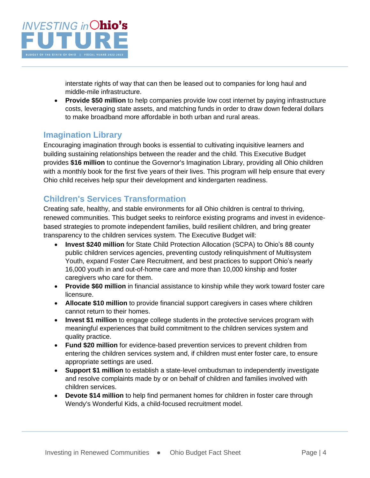

interstate rights of way that can then be leased out to companies for long haul and middle-mile infrastructure.

• **Provide \$50 million** to help companies provide low cost internet by paying infrastructure costs, leveraging state assets, and matching funds in order to draw down federal dollars to make broadband more affordable in both urban and rural areas.

### **Imagination Library**

Encouraging imagination through books is essential to cultivating inquisitive learners and building sustaining relationships between the reader and the child. This Executive Budget provides **\$16 million** to continue the Governor's Imagination Library, providing all Ohio children with a monthly book for the first five years of their lives. This program will help ensure that every Ohio child receives help spur their development and kindergarten readiness.

#### **Children's Services Transformation**

Creating safe, healthy, and stable environments for all Ohio children is central to thriving, renewed communities. This budget seeks to reinforce existing programs and invest in evidencebased strategies to promote independent families, build resilient children, and bring greater transparency to the children services system. The Executive Budget will:

- **Invest \$240 million** for State Child Protection Allocation (SCPA) to Ohio's 88 county public children services agencies, preventing custody relinquishment of Multisystem Youth, expand Foster Care Recruitment, and best practices to support Ohio's nearly 16,000 youth in and out-of-home care and more than 10,000 kinship and foster caregivers who care for them.
- **Provide \$60 million** in financial assistance to kinship while they work toward foster care licensure.
- **Allocate \$10 million** to provide financial support caregivers in cases where children cannot return to their homes.
- **Invest \$1 million** to engage college students in the protective services program with meaningful experiences that build commitment to the children services system and quality practice.
- **Fund \$20 million** for evidence-based prevention services to prevent children from entering the children services system and, if children must enter foster care, to ensure appropriate settings are used.
- **Support \$1 million** to establish a state-level ombudsman to independently investigate and resolve complaints made by or on behalf of children and families involved with children services.
- **Devote \$14 million** to help find permanent homes for children in foster care through Wendy's Wonderful Kids, a child-focused recruitment model.